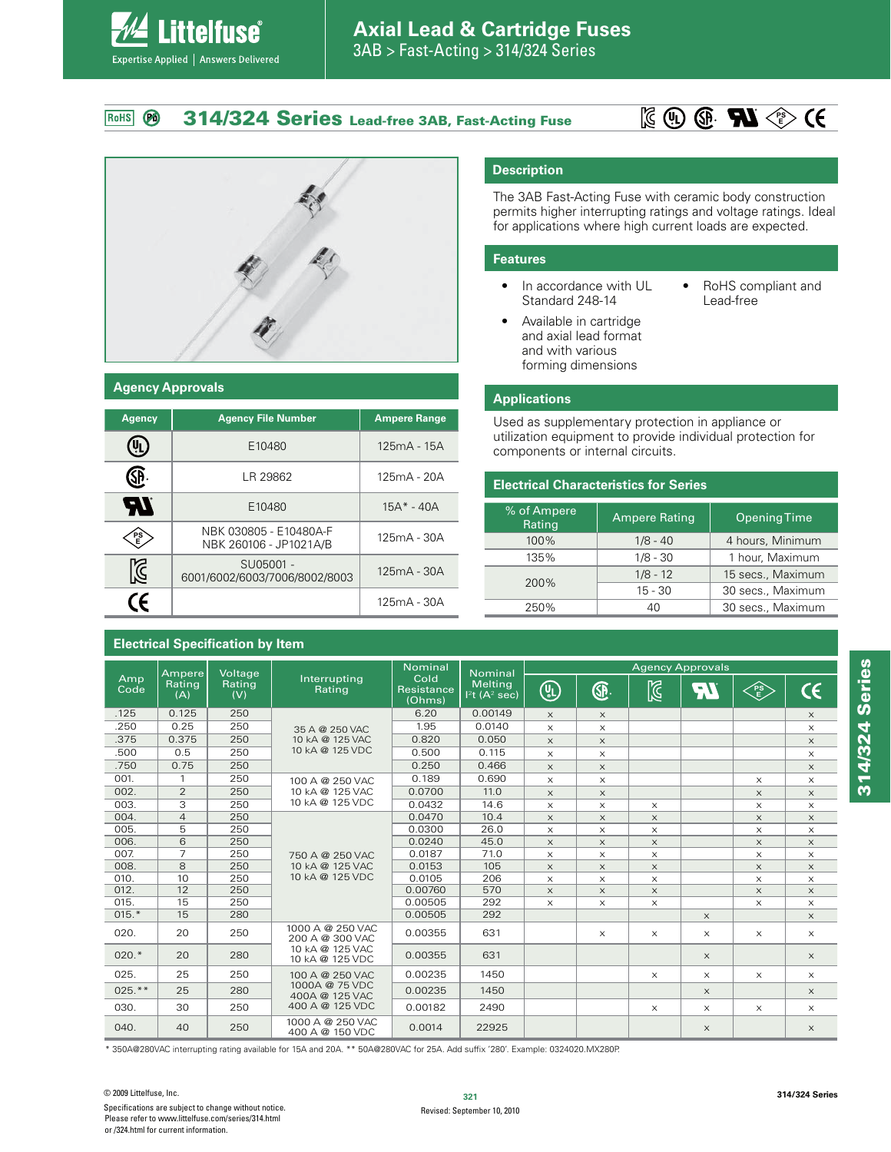#### **314/324 Series Lead-free 3AB, Fast-Acting Fuse PS**  $\overline{P}$ RoHS





**ittelfuse**®

Expertise Applied | Answers Delivered

#### **Agency Approvals**

| <b>Agency</b> | <b>Agency File Number</b>                        | <b>Ampere Range</b> |
|---------------|--------------------------------------------------|---------------------|
|               | E10480                                           | 125mA - 15A         |
|               | LR 29862                                         | $125mA - 20A$       |
| HI            | E10480                                           | $15A^* - 40A$       |
| PS<br>E       | NBK 030805 - E10480A-F<br>NBK 260106 - JP1021A/B | 125mA - 30A         |
| $\mathbb{Z}$  | SU05001 -<br>6001/6002/6003/7006/8002/8003       | 125mA - 30A         |
| $\epsilon$    |                                                  | 125mA - 30A         |

#### **Electrical Specification by Item**

### **Description**

The 3AB Fast-Acting Fuse with ceramic body construction permits higher interrupting ratings and voltage ratings. Ideal for applications where high current loads are expected.

#### **Features**

- In accordance with UL Standard 248-14
- RoHS compliant and Lead-free
- Available in cartridge and axial lead format and with various forming dimensions

#### **Applications**

Used as supplementary protection in appliance or utilization equipment to provide individual protection for components or internal circuits.

#### **Electrical Characteristics for Series**

| % of Ampere<br>Rating | <b>Ampere Rating</b> | <b>Opening Time</b> |
|-----------------------|----------------------|---------------------|
| 100%                  | $1/8 - 40$           | 4 hours, Minimum    |
| 135%                  | $1/8 - 30$           | 1 hour, Maximum     |
|                       | $1/8 - 12$           | 15 secs., Maximum   |
| 200%                  | $15 - 30$            | 30 secs., Maximum   |
| 250%                  | 40                   | 30 secs., Maximum   |

| Ampere             |                | Voltage       |                                                     | <b>Nominal</b><br><b>Nominal</b>                                             | <b>Agency Approvals</b> |                       |             |                                    |           |            |          |
|--------------------|----------------|---------------|-----------------------------------------------------|------------------------------------------------------------------------------|-------------------------|-----------------------|-------------|------------------------------------|-----------|------------|----------|
| Amp<br>Code<br>(A) | Rating         | Rating<br>(V) | Interrupting<br>Rating                              | Cold<br><b>Melting</b><br>Resistance<br>$I2t$ (A <sup>2</sup> sec)<br>(Ohms) | (5)                     | <b>G</b>              | $\boxtimes$ | $\mathcal{L}_{\mathcal{A}}$<br>īΛ, | ∕PS<br>√E | $\epsilon$ |          |
| .125               | 0.125          | 250           |                                                     | 6.20                                                                         | 0.00149                 | $\times$              | $\times$    |                                    |           |            | $\times$ |
| .250               | 0.25           | 250           | 35 A @ 250 VAC                                      | 1.95                                                                         | 0.0140                  | $\times$              | $\times$    |                                    |           |            | $\times$ |
| .375               | 0.375          | 250           | 10 kA @ 125 VAC                                     | 0.820                                                                        | 0.050                   | $\times$              | $\times$    |                                    |           |            | $\times$ |
| .500               | 0.5            | 250           | 10 kA @ 125 VDC                                     | 0.500                                                                        | 0.115                   | $\times$              | $\times$    |                                    |           |            | $\times$ |
| .750               | 0.75           | 250           |                                                     | 0.250                                                                        | 0.466                   | $\times$              | $\times$    |                                    |           |            | $\times$ |
| 001.               | 1              | 250           | 100 A @ 250 VAC                                     | 0.189                                                                        | 0.690                   | $\times$              | $\times$    |                                    |           | $\times$   | $\times$ |
| 002.               | $\overline{2}$ | 250           | 10 kA @ 125 VAC                                     | 0.0700                                                                       | 11.0                    | $\times$              | $\times$    |                                    |           | $\times$   | X        |
| 003.               | 3              | 250           | 10 kA @ 125 VDC                                     | 0.0432                                                                       | 14.6                    | $\times$              | $\times$    | $\times$                           |           | $\times$   | $\times$ |
| 004.               | $\overline{4}$ | 250           |                                                     | 0.0470                                                                       | 10.4                    | $\times$              | $\times$    | $\times$                           |           | $\times$   | $\times$ |
| 005.               | 5              | 250           |                                                     | 0.0300                                                                       | 26.0                    | $\times$              | $\times$    | $\times$                           |           | $\times$   | X        |
| 006.               | 6              | 250           |                                                     | 0.0240                                                                       | 45.0                    | $\times$              | $\times$    | $\times$                           |           | $\times$   | $\times$ |
| 007.               | $\overline{7}$ | 250           | 750 A @ 250 VAC                                     | 0.0187                                                                       | 71.0                    | $\boldsymbol{\times}$ | $\times$    | $\boldsymbol{\times}$              |           | $\times$   | X        |
| 008.               | 8              | 250           | 10 kA @ 125 VAC                                     | 0.0153                                                                       | 105                     | $\times$              | $\times$    | $\times$                           |           | $\times$   | X        |
| 010.               | 10             | 250           | 10 kA @ 125 VDC                                     | 0.0105                                                                       | 206                     | $\times$              | X           | $\times$                           |           | $\times$   | $\times$ |
| 012.               | 12             | 250           |                                                     | 0.00760                                                                      | 570                     | $\times$              | $\times$    | $\times$                           |           | $\times$   | $\times$ |
| 015.               | 15             | 250           |                                                     | 0.00505                                                                      | 292                     | $\boldsymbol{\times}$ | $\times$    | $\times$                           |           | $\times$   | X        |
| $015.*$            | 15             | 280           |                                                     | 0.00505                                                                      | 292                     |                       |             |                                    | $\times$  |            | $\times$ |
| 020.               | 20             | 250           | 1000 A @ 250 VAC<br>200 A @ 300 VAC                 | 0.00355                                                                      | 631                     |                       | $\times$    | $\times$                           | $\times$  | $\times$   | $\times$ |
| $020.*$            | 20             | 280           | 10 kA @ 125 VAC<br>10 kA @ 125 VDC                  | 0.00355                                                                      | 631                     |                       |             |                                    | $\times$  |            | $\times$ |
| 025.               | 25             | 250           | 100 A @ 250 VAC                                     | 0.00235                                                                      | 1450                    |                       |             | $\times$                           | $\times$  | $\times$   | $\times$ |
| $025.**$           | 25             | 280           | 1000A @ 75 VDC<br>400A @ 125 VAC<br>400 A @ 125 VDC | 0.00235                                                                      | 1450                    |                       |             |                                    | $\times$  |            | $\times$ |
| 030.               | 30             | 250           |                                                     | 0.00182                                                                      | 2490                    |                       |             | $\times$                           | $\times$  | $\times$   | $\times$ |
| 040.               | 40             | 250           | 1000 A @ 250 VAC<br>400 A @ 150 VDC                 | 0.0014                                                                       | 22925                   |                       |             |                                    | $\times$  |            | $\times$ |

\* 350A@280VAC interrupting rating available for 15A and 20A. \*\* 50A@280VAC for 25A. Add suffix '280'. Example: 0324020.MX280P.

**314/324 Series**

314/324 Series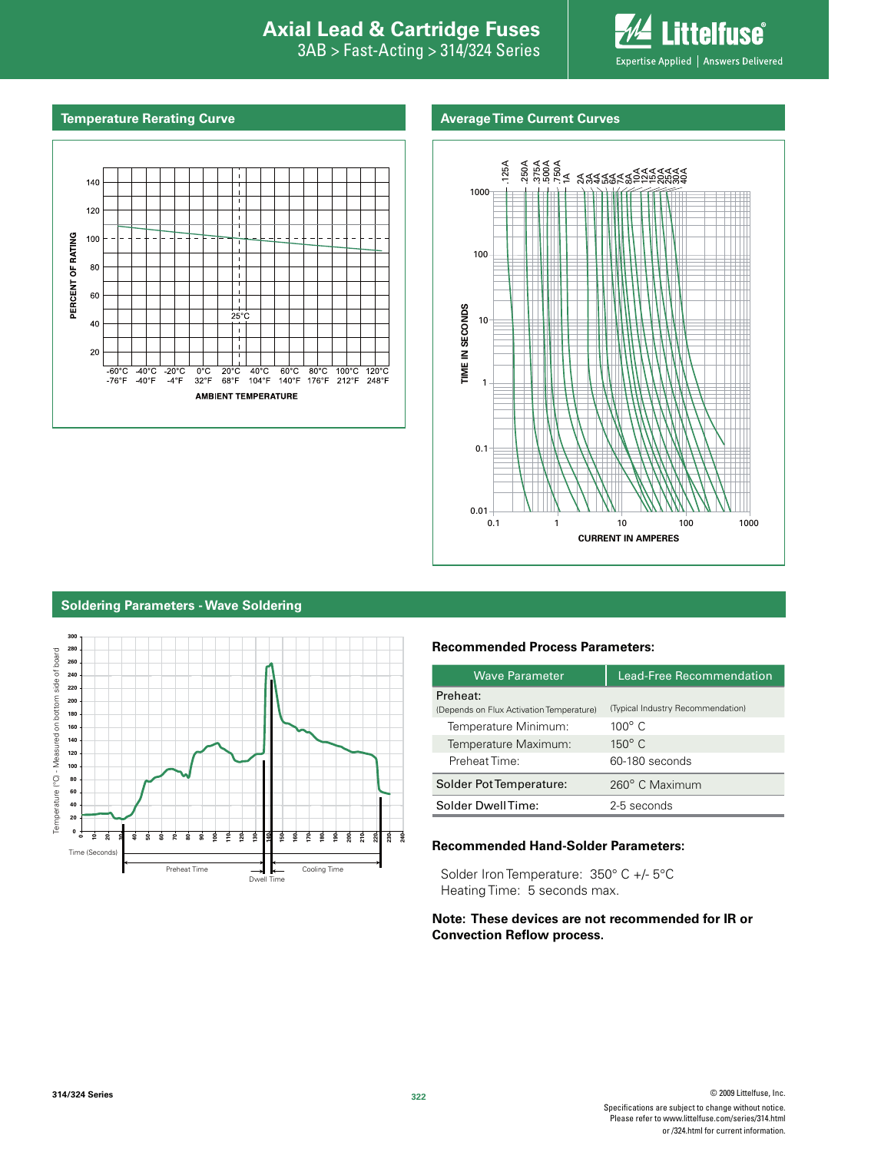## **Interproduction Interacts Axial Lead & Cartridge Fuses**

3AB > Fast-Acting > 314/324 Series



#### **Temperature Rerating Curve**

#### **Average Time Current Curves**





#### **Soldering Parameters - Wave Soldering**



#### **Recommended Process Parameters:**

| <b>Wave Parameter</b>                                | <b>Lead-Free Recommendation</b>   |
|------------------------------------------------------|-----------------------------------|
| Preheat:<br>(Depends on Flux Activation Temperature) | (Typical Industry Recommendation) |
| Temperature Minimum:                                 | $100^\circ$ C                     |
| Temperature Maximum:                                 | $150^{\circ}$ C                   |
| Preheat Time:                                        | 60-180 seconds                    |
| Solder Pot Temperature:                              | 260° C Maximum                    |
| Solder DwellTime:                                    | 2-5 seconds                       |

#### **Recommended Hand-Solder Parameters:**

Solder Iron Temperature: 350° C +/- 5°C Heating Time: 5 seconds max.

#### **Note: These devices are not recommended for IR or Convection Reflow process.**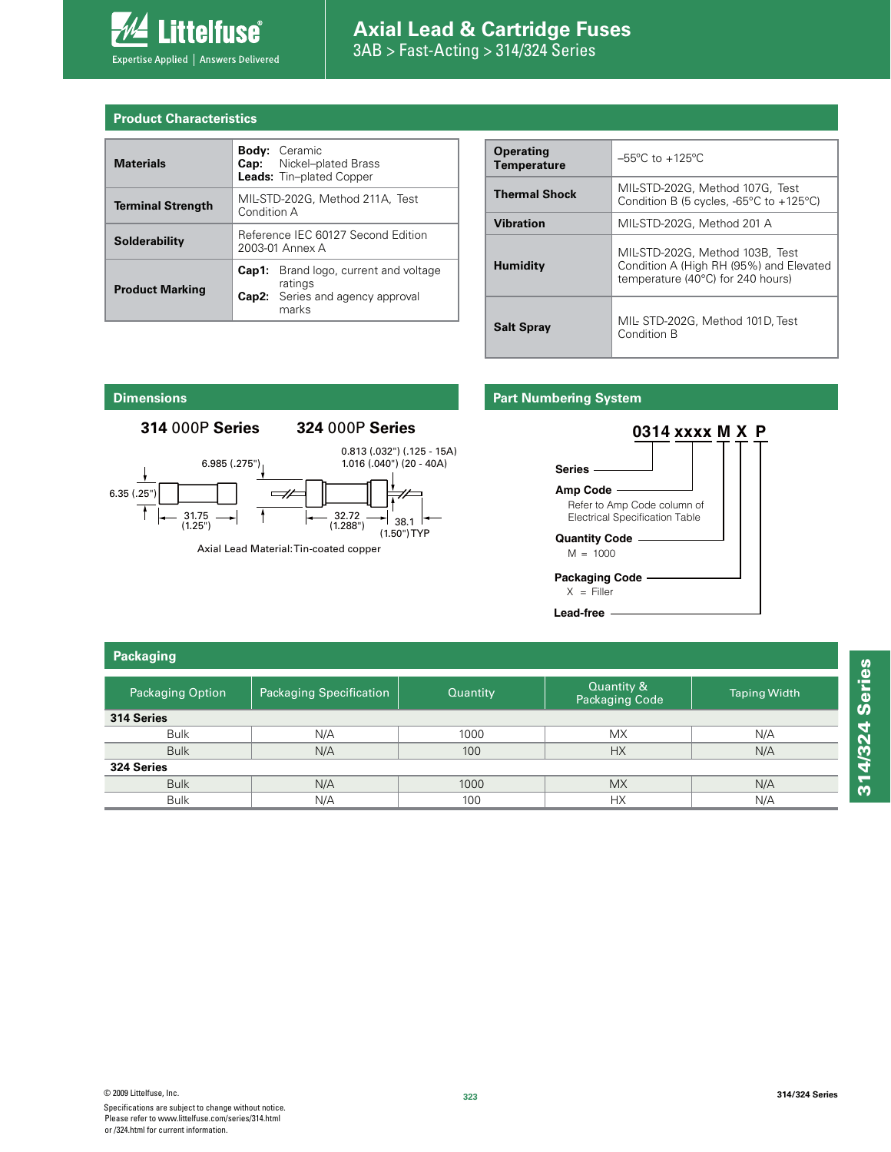

# **Axial Lead & Cartridge Fuses**

3AB > Fast-Acting > 314/324 Series

| <b>Product Characteristics</b> |  |  |  |
|--------------------------------|--|--|--|
|                                |  |  |  |

| <b>Materials</b>         |                                                       | <b>Body:</b> Ceramic<br><b>Cap:</b> Nickel-plated Brass<br><b>Leads:</b> Tin-plated Copper     |  |
|--------------------------|-------------------------------------------------------|------------------------------------------------------------------------------------------------|--|
| <b>Terminal Strength</b> | MIL-STD-202G, Method 211A, Test<br>Condition A        |                                                                                                |  |
| Solderability            | Reference IEC 60127 Second Edition<br>2003-01 Annex A |                                                                                                |  |
| <b>Product Marking</b>   | Cap1:                                                 | Brand logo, current and voltage<br>ratings<br><b>Cap2:</b> Series and agency approval<br>marks |  |

| <b>Operating</b><br><b>Temperature</b> | $-55^{\circ}$ C to $+125^{\circ}$ C                                                                             |
|----------------------------------------|-----------------------------------------------------------------------------------------------------------------|
| <b>Thermal Shock</b>                   | MIL-STD-202G. Method 107G. Test<br>Condition B (5 cycles, $-65^{\circ}$ C to $+125^{\circ}$ C)                  |
| <b>Vibration</b>                       | MIL-STD-202G, Method 201 A                                                                                      |
| <b>Humidity</b>                        | MIL-STD-202G. Method 103B. Test<br>Condition A (High RH (95%) and Elevated<br>temperature (40°C) for 240 hours) |
| <b>Salt Spray</b>                      | MIL-STD-202G, Method 101D, Test<br>Condition B                                                                  |

#### **Dimensions**

#### **314** 000P **Series 324** 000P **Series**



#### **Part Numbering System**



| Packaging               |                                |          |                                     |                     |  |  |  |
|-------------------------|--------------------------------|----------|-------------------------------------|---------------------|--|--|--|
| <b>Packaging Option</b> | <b>Packaging Specification</b> | Quantity | Quantity &<br><b>Packaging Code</b> | <b>Taping Width</b> |  |  |  |
| 314 Series              |                                |          |                                     |                     |  |  |  |
| <b>Bulk</b>             | N/A                            | 1000     | <b>MX</b>                           | N/A                 |  |  |  |
| <b>Bulk</b>             | N/A                            | 100      | <b>HX</b>                           | N/A                 |  |  |  |
| 324 Series              |                                |          |                                     |                     |  |  |  |
| <b>Bulk</b>             | N/A                            | 1000     | <b>MX</b>                           | N/A                 |  |  |  |
| <b>Bulk</b>             | N/A                            | 100      | НX                                  | N/A                 |  |  |  |